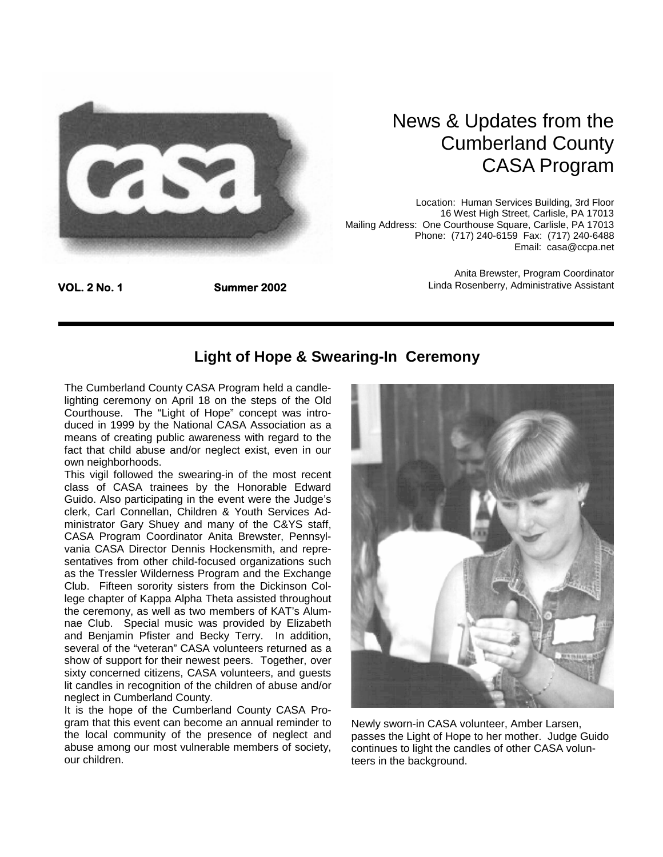

## News & Updates from the Cumberland County CASA Program

Location: Human Services Building, 3rd Floor 16 West High Street, Carlisle, PA 17013 Mailing Address: One Courthouse Square, Carlisle, PA 17013 Phone: (717) 240-6159 Fax: (717) 240-6488 Email: casa@ccpa.net

> Anita Brewster, Program Coordinator Linda Rosenberry, Administrative Assistant

#### **Light of Hope & Swearing-In Ceremony**

The Cumberland County CASA Program held a candlelighting ceremony on April 18 on the steps of the Old Courthouse. The "Light of Hope" concept was introduced in 1999 by the National CASA Association as a means of creating public awareness with regard to the fact that child abuse and/or neglect exist, even in our own neighborhoods.

This vigil followed the swearing-in of the most recent class of CASA trainees by the Honorable Edward Guido. Also participating in the event were the Judge's clerk, Carl Connellan, Children & Youth Services Administrator Gary Shuey and many of the C&YS staff, CASA Program Coordinator Anita Brewster, Pennsylvania CASA Director Dennis Hockensmith, and representatives from other child-focused organizations such as the Tressler Wilderness Program and the Exchange Club. Fifteen sorority sisters from the Dickinson College chapter of Kappa Alpha Theta assisted throughout the ceremony, as well as two members of KAT's Alumnae Club. Special music was provided by Elizabeth and Benjamin Pfister and Becky Terry. In addition, several of the "veteran" CASA volunteers returned as a show of support for their newest peers. Together, over sixty concerned citizens, CASA volunteers, and guests lit candles in recognition of the children of abuse and/or neglect in Cumberland County.

It is the hope of the Cumberland County CASA Program that this event can become an annual reminder to the local community of the presence of neglect and abuse among our most vulnerable members of society, our children.



Newly sworn-in CASA volunteer, Amber Larsen, passes the Light of Hope to her mother. Judge Guido continues to light the candles of other CASA volunteers in the background.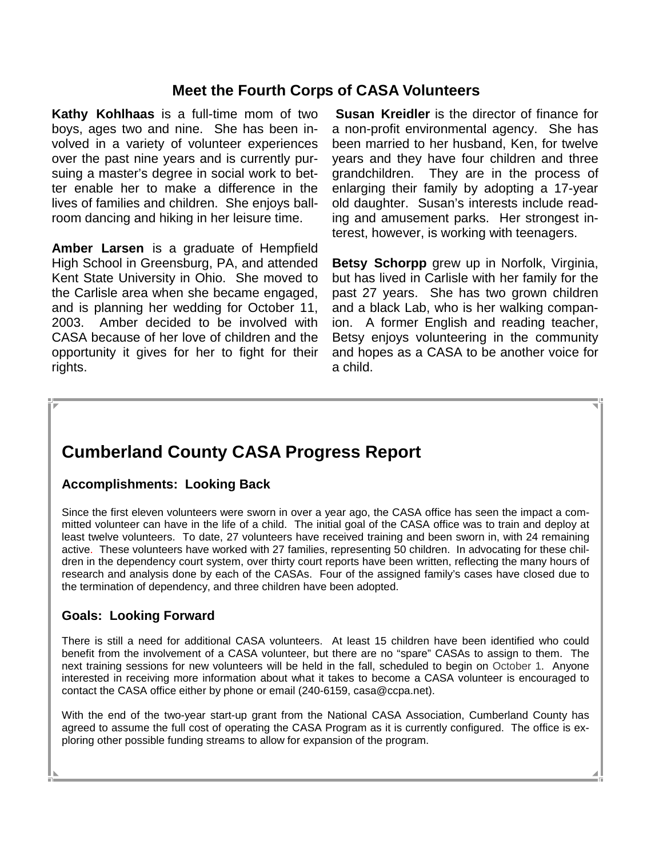### **Meet the Fourth Corps of CASA Volunteers**

**Kathy Kohlhaas** is a full-time mom of two boys, ages two and nine. She has been involved in a variety of volunteer experiences over the past nine years and is currently pursuing a master's degree in social work to better enable her to make a difference in the lives of families and children. She enjoys ballroom dancing and hiking in her leisure time.

**Amber Larsen** is a graduate of Hempfield High School in Greensburg, PA, and attended Kent State University in Ohio. She moved to the Carlisle area when she became engaged, and is planning her wedding for October 11, 2003. Amber decided to be involved with CASA because of her love of children and the opportunity it gives for her to fight for their rights.

**Susan Kreidler** is the director of finance for a non-profit environmental agency. She has been married to her husband, Ken, for twelve years and they have four children and three grandchildren. They are in the process of enlarging their family by adopting a 17-year old daughter. Susan's interests include reading and amusement parks. Her strongest interest, however, is working with teenagers.

**Betsy Schorpp** grew up in Norfolk, Virginia, but has lived in Carlisle with her family for the past 27 years. She has two grown children and a black Lab, who is her walking companion. A former English and reading teacher, Betsy enjoys volunteering in the community and hopes as a CASA to be another voice for a child.

## **Cumberland County CASA Progress Report**

#### **Accomplishments: Looking Back**

Since the first eleven volunteers were sworn in over a year ago, the CASA office has seen the impact a committed volunteer can have in the life of a child. The initial goal of the CASA office was to train and deploy at least twelve volunteers. To date, 27 volunteers have received training and been sworn in, with 24 remaining active. These volunteers have worked with 27 families, representing 50 children. In advocating for these children in the dependency court system, over thirty court reports have been written, reflecting the many hours of research and analysis done by each of the CASAs. Four of the assigned family's cases have closed due to the termination of dependency, and three children have been adopted.

#### **Goals: Looking Forward**

There is still a need for additional CASA volunteers. At least 15 children have been identified who could benefit from the involvement of a CASA volunteer, but there are no "spare" CASAs to assign to them. The next training sessions for new volunteers will be held in the fall, scheduled to begin on October 1. Anyone interested in receiving more information about what it takes to become a CASA volunteer is encouraged to contact the CASA office either by phone or email (240-6159, casa@ccpa.net).

With the end of the two-year start-up grant from the National CASA Association, Cumberland County has agreed to assume the full cost of operating the CASA Program as it is currently configured. The office is exploring other possible funding streams to allow for expansion of the program.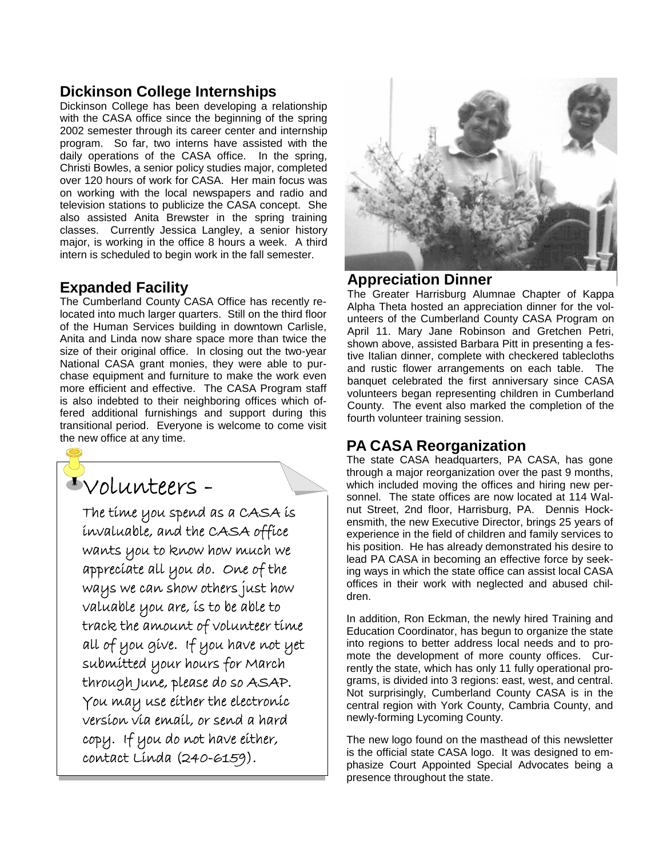## **Dickinson College Internships**

Dickinson College has been developing a relationship with the CASA office since the beginning of the spring 2002 semester through its career center and internship program. So far, two interns have assisted with the daily operations of the CASA office. In the spring, Christi Bowles, a senior policy studies major, completed over 120 hours of work for CASA. Her main focus was on working with the local newspapers and radio and television stations to publicize the CASA concept. She also assisted Anita Brewster in the spring training classes. Currently Jessica Langley, a senior history major, is working in the office 8 hours a week. A third intern is scheduled to begin work in the fall semester.

#### **Expanded Facility**

The Cumberland County CASA Office has recently relocated into much larger quarters. Still on the third floor of the Human Services building in downtown Carlisle, Anita and Linda now share space more than twice the size of their original office. In closing out the two-year National CASA grant monies, they were able to purchase equipment and furniture to make the work even more efficient and effective. The CASA Program staff is also indebted to their neighboring offices which offered additional furnishings and support during this transitional period. Everyone is welcome to come visit the new office at any time.

# Volunteers -

The time you spend as a CASA is invaluable, and the CASA office wants you to know how much we appreciate all you do. One of the ways we can show others just how valuable you are, is to be able to track the amount of volunteer time all of you give. If you have not yet submitted your hours for March through June, please do so ASAP. You may use either the electronic version via email, or send a hard copy. If you do not have either, contact Linda (240-6159).



#### **Appreciation Dinner**

The Greater Harrisburg Alumnae Chapter of Kappa Alpha Theta hosted an appreciation dinner for the volunteers of the Cumberland County CASA Program on April 11. Mary Jane Robinson and Gretchen Petri, shown above, assisted Barbara Pitt in presenting a festive Italian dinner, complete with checkered tablecloths and rustic flower arrangements on each table. The banquet celebrated the first anniversary since CASA volunteers began representing children in Cumberland County. The event also marked the completion of the fourth volunteer training session.

#### **PA CASA Reorganization**

The state CASA headquarters, PA CASA, has gone through a major reorganization over the past 9 months, which included moving the offices and hiring new personnel. The state offices are now located at 114 Walnut Street, 2nd floor, Harrisburg, PA. Dennis Hockensmith, the new Executive Director, brings 25 years of experience in the field of children and family services to his position. He has already demonstrated his desire to lead PA CASA in becoming an effective force by seeking ways in which the state office can assist local CASA offices in their work with neglected and abused children.

In addition, Ron Eckman, the newly hired Training and Education Coordinator, has begun to organize the state into regions to better address local needs and to promote the development of more county offices. Currently the state, which has only 11 fully operational programs, is divided into 3 regions: east, west, and central. Not surprisingly, Cumberland County CASA is in the central region with York County, Cambria County, and newly-forming Lycoming County.

The new logo found on the masthead of this newsletter is the official state CASA logo. It was designed to emphasize Court Appointed Special Advocates being a presence throughout the state.